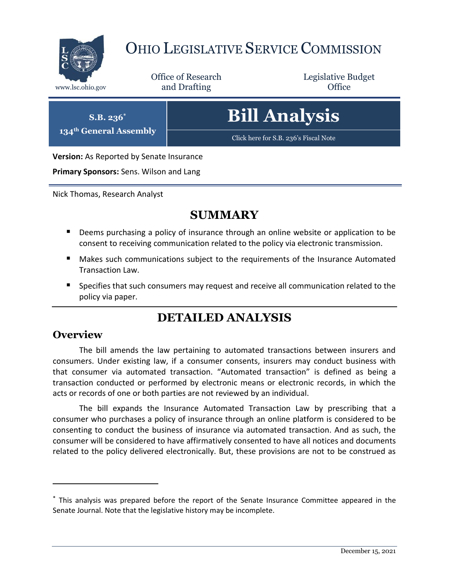

# OHIO LEGISLATIVE SERVICE COMMISSION

Office of Research www.lsc.ohio.gov **and Drafting Office** 

Legislative Budget

**S.B. 236\***

**134th General Assembly**

**Bill Analysis**

[Click here for S.B. 236's Fiscal Note](https://www.legislature.ohio.gov/legislation/legislation-documents?id=GA134-SB-236)

**Version:** As Reported by Senate Insurance

**Primary Sponsors:** Sens. Wilson and Lang

Nick Thomas, Research Analyst

## **SUMMARY**

- **Deems purchasing a policy of insurance through an online website or application to be** consent to receiving communication related to the policy via electronic transmission.
- Makes such communications subject to the requirements of the Insurance Automated Transaction Law.
- **Specifies that such consumers may request and receive all communication related to the** policy via paper.

## **DETAILED ANALYSIS**

#### **Overview**

 $\overline{a}$ 

The bill amends the law pertaining to automated transactions between insurers and consumers. Under existing law, if a consumer consents, insurers may conduct business with that consumer via automated transaction. "Automated transaction" is defined as being a transaction conducted or performed by electronic means or electronic records, in which the acts or records of one or both parties are not reviewed by an individual.

The bill expands the Insurance Automated Transaction Law by prescribing that a consumer who purchases a policy of insurance through an online platform is considered to be consenting to conduct the business of insurance via automated transaction. And as such, the consumer will be considered to have affirmatively consented to have all notices and documents related to the policy delivered electronically. But, these provisions are not to be construed as

<sup>\*</sup> This analysis was prepared before the report of the Senate Insurance Committee appeared in the Senate Journal. Note that the legislative history may be incomplete.